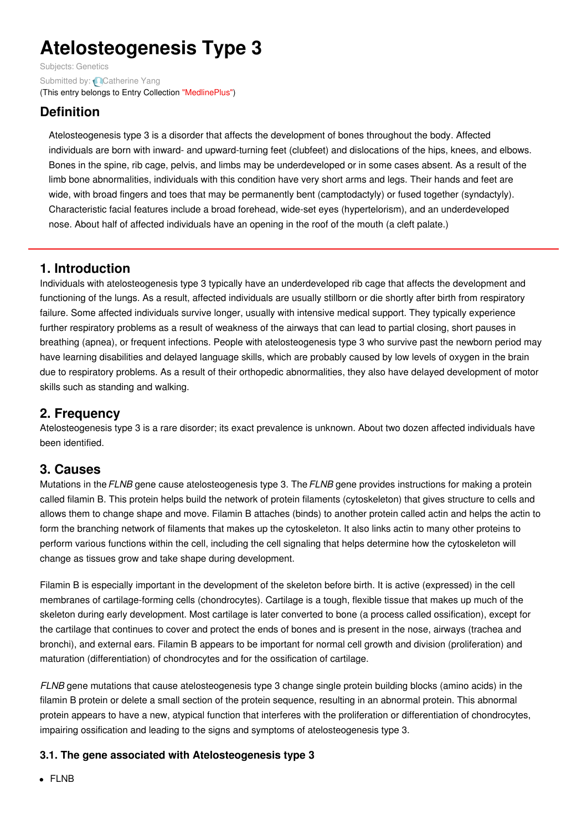# **Atelosteogenesis Type 3**

Subjects: [Genetics](https://encyclopedia.pub/item/subject/56) Submitted by: **Q[Catherine](https://sciprofiles.com/profile/807601) Yang** (This entry belongs to Entry Collection ["MedlinePlus"](https://encyclopedia.pub/entry/collection/24))

# **Definition**

Atelosteogenesis type 3 is a disorder that affects the development of bones throughout the body. Affected individuals are born with inward- and upward-turning feet (clubfeet) and dislocations of the hips, knees, and elbows. Bones in the spine, rib cage, pelvis, and limbs may be underdeveloped or in some cases absent. As a result of the limb bone abnormalities, individuals with this condition have very short arms and legs. Their hands and feet are wide, with broad fingers and toes that may be permanently bent (camptodactyly) or fused together (syndactyly). Characteristic facial features include a broad forehead, wide-set eyes (hypertelorism), and an underdeveloped nose. About half of affected individuals have an opening in the roof of the mouth (a cleft palate.)

## **1. Introduction**

Individuals with atelosteogenesis type 3 typically have an underdeveloped rib cage that affects the development and functioning of the lungs. As a result, affected individuals are usually stillborn or die shortly after birth from respiratory failure. Some affected individuals survive longer, usually with intensive medical support. They typically experience further respiratory problems as a result of weakness of the airways that can lead to partial closing, short pauses in breathing (apnea), or frequent infections. People with atelosteogenesis type 3 who survive past the newborn period may have learning disabilities and delayed language skills, which are probably caused by low levels of oxygen in the brain due to respiratory problems. As a result of their orthopedic abnormalities, they also have delayed development of motor skills such as standing and walking.

## **2. Frequency**

Atelosteogenesis type 3 is a rare disorder; its exact prevalence is unknown. About two dozen affected individuals have been identified.

#### **3. Causes**

Mutations in the*FLNB* gene cause atelosteogenesis type 3. The*FLNB* gene provides instructions for making a protein called filamin B. This protein helps build the network of protein filaments (cytoskeleton) that gives structure to cells and allows them to change shape and move. Filamin B attaches (binds) to another protein called actin and helps the actin to form the branching network of filaments that makes up the cytoskeleton. It also links actin to many other proteins to perform various functions within the cell, including the cell signaling that helps determine how the cytoskeleton will change as tissues grow and take shape during development.

Filamin B is especially important in the development of the skeleton before birth. It is active (expressed) in the cell membranes of cartilage-forming cells (chondrocytes). Cartilage is a tough, flexible tissue that makes up much of the skeleton during early development. Most cartilage is later converted to bone (a process called ossification), except for the cartilage that continues to cover and protect the ends of bones and is present in the nose, airways (trachea and bronchi), and external ears. Filamin B appears to be important for normal cell growth and division (proliferation) and maturation (differentiation) of chondrocytes and for the ossification of cartilage.

*FLNB* gene mutations that cause atelosteogenesis type 3 change single protein building blocks (amino acids) in the filamin B protein or delete a small section of the protein sequence, resulting in an abnormal protein. This abnormal protein appears to have a new, atypical function that interferes with the proliferation or differentiation of chondrocytes, impairing ossification and leading to the signs and symptoms of atelosteogenesis type 3.

#### **3.1. The gene associated with Atelosteogenesis type 3**

• FLNB